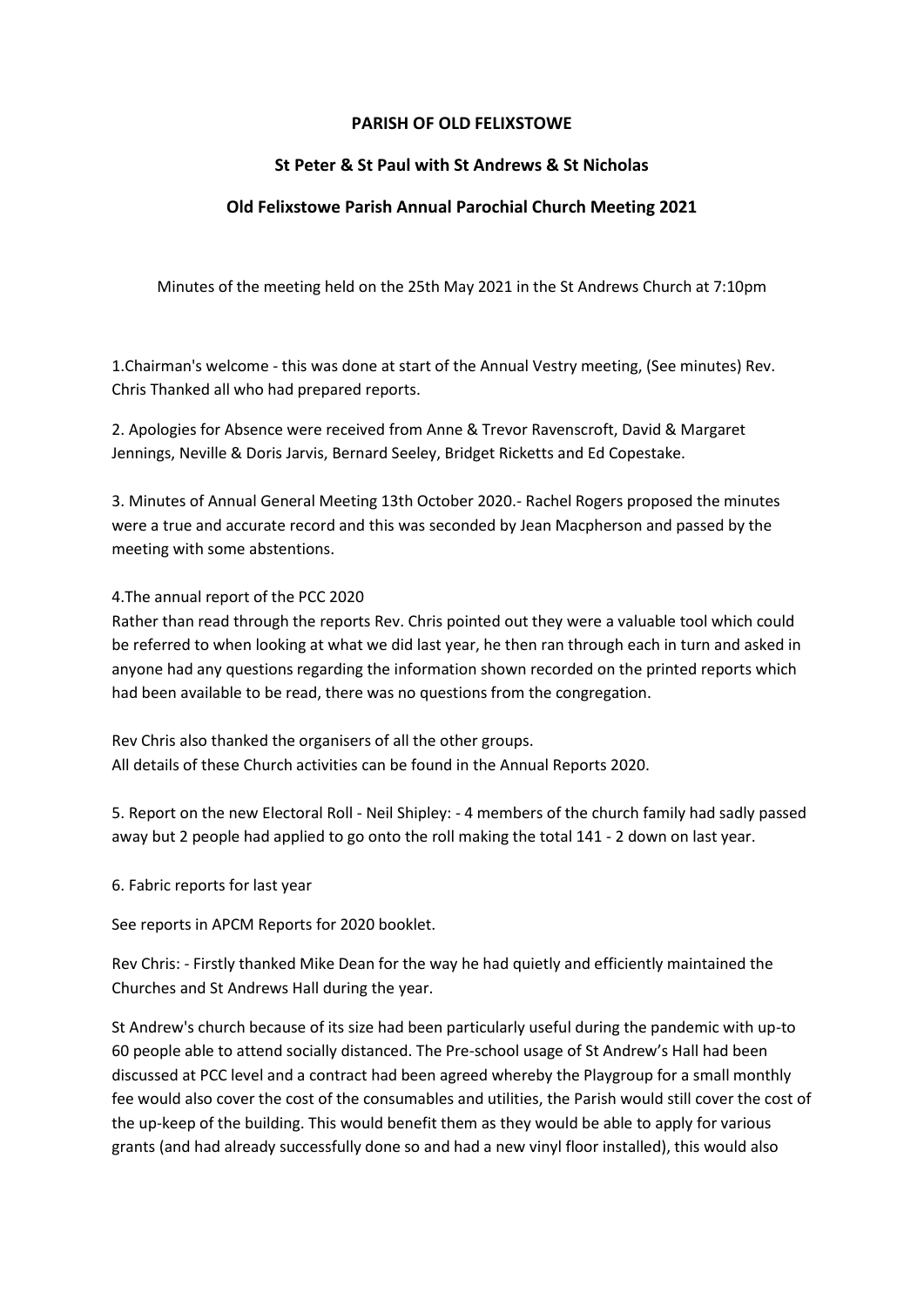### **PARISH OF OLD FELIXSTOWE**

# **St Peter & St Paul with St Andrews & St Nicholas**

# **Old Felixstowe Parish Annual Parochial Church Meeting 2021**

Minutes of the meeting held on the 25th May 2021 in the St Andrews Church at 7:10pm

1.Chairman's welcome - this was done at start of the Annual Vestry meeting, (See minutes) Rev. Chris Thanked all who had prepared reports.

2. Apologies for Absence were received from Anne & Trevor Ravenscroft, David & Margaret Jennings, Neville & Doris Jarvis, Bernard Seeley, Bridget Ricketts and Ed Copestake.

3. Minutes of Annual General Meeting 13th October 2020.- Rachel Rogers proposed the minutes were a true and accurate record and this was seconded by Jean Macpherson and passed by the meeting with some abstentions.

#### 4.The annual report of the PCC 2020

Rather than read through the reports Rev. Chris pointed out they were a valuable tool which could be referred to when looking at what we did last year, he then ran through each in turn and asked in anyone had any questions regarding the information shown recorded on the printed reports which had been available to be read, there was no questions from the congregation.

Rev Chris also thanked the organisers of all the other groups. All details of these Church activities can be found in the Annual Reports 2020.

5. Report on the new Electoral Roll - Neil Shipley: - 4 members of the church family had sadly passed away but 2 people had applied to go onto the roll making the total 141 - 2 down on last year.

6. Fabric reports for last year

See reports in APCM Reports for 2020 booklet.

Rev Chris: - Firstly thanked Mike Dean for the way he had quietly and efficiently maintained the Churches and St Andrews Hall during the year.

St Andrew's church because of its size had been particularly useful during the pandemic with up-to 60 people able to attend socially distanced. The Pre-school usage of St Andrew's Hall had been discussed at PCC level and a contract had been agreed whereby the Playgroup for a small monthly fee would also cover the cost of the consumables and utilities, the Parish would still cover the cost of the up-keep of the building. This would benefit them as they would be able to apply for various grants (and had already successfully done so and had a new vinyl floor installed), this would also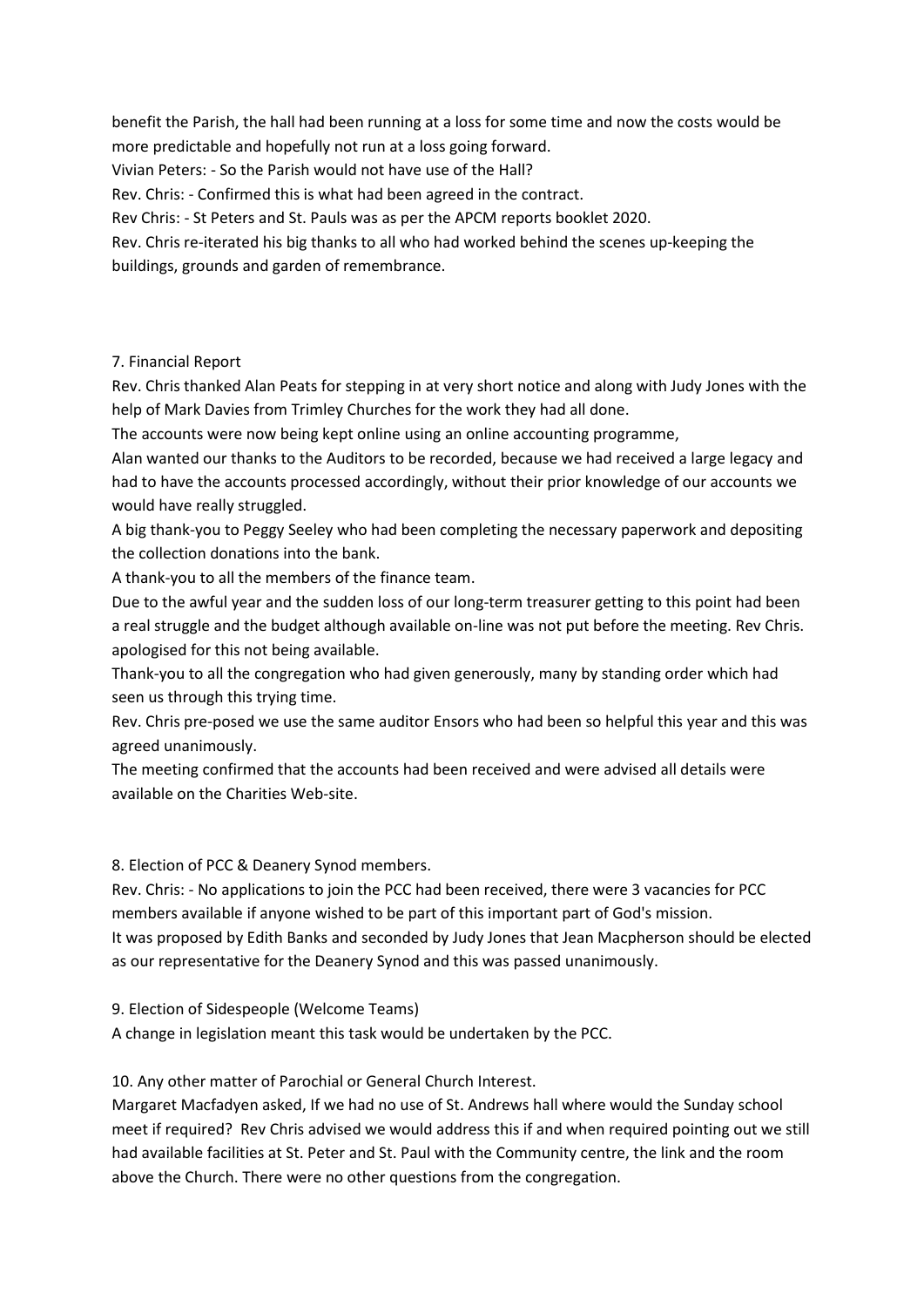benefit the Parish, the hall had been running at a loss for some time and now the costs would be more predictable and hopefully not run at a loss going forward.

Vivian Peters: - So the Parish would not have use of the Hall?

Rev. Chris: - Confirmed this is what had been agreed in the contract.

Rev Chris: - St Peters and St. Pauls was as per the APCM reports booklet 2020.

Rev. Chris re-iterated his big thanks to all who had worked behind the scenes up-keeping the buildings, grounds and garden of remembrance.

#### 7. Financial Report

Rev. Chris thanked Alan Peats for stepping in at very short notice and along with Judy Jones with the help of Mark Davies from Trimley Churches for the work they had all done.

The accounts were now being kept online using an online accounting programme,

Alan wanted our thanks to the Auditors to be recorded, because we had received a large legacy and had to have the accounts processed accordingly, without their prior knowledge of our accounts we would have really struggled.

A big thank-you to Peggy Seeley who had been completing the necessary paperwork and depositing the collection donations into the bank.

A thank-you to all the members of the finance team.

Due to the awful year and the sudden loss of our long-term treasurer getting to this point had been a real struggle and the budget although available on-line was not put before the meeting. Rev Chris. apologised for this not being available.

Thank-you to all the congregation who had given generously, many by standing order which had seen us through this trying time.

Rev. Chris pre-posed we use the same auditor Ensors who had been so helpful this year and this was agreed unanimously.

The meeting confirmed that the accounts had been received and were advised all details were available on the Charities Web-site.

8. Election of PCC & Deanery Synod members.

Rev. Chris: - No applications to join the PCC had been received, there were 3 vacancies for PCC members available if anyone wished to be part of this important part of God's mission. It was proposed by Edith Banks and seconded by Judy Jones that Jean Macpherson should be elected as our representative for the Deanery Synod and this was passed unanimously.

9. Election of Sidespeople (Welcome Teams)

A change in legislation meant this task would be undertaken by the PCC.

10. Any other matter of Parochial or General Church Interest.

Margaret Macfadyen asked, If we had no use of St. Andrews hall where would the Sunday school meet if required? Rev Chris advised we would address this if and when required pointing out we still had available facilities at St. Peter and St. Paul with the Community centre, the link and the room above the Church. There were no other questions from the congregation.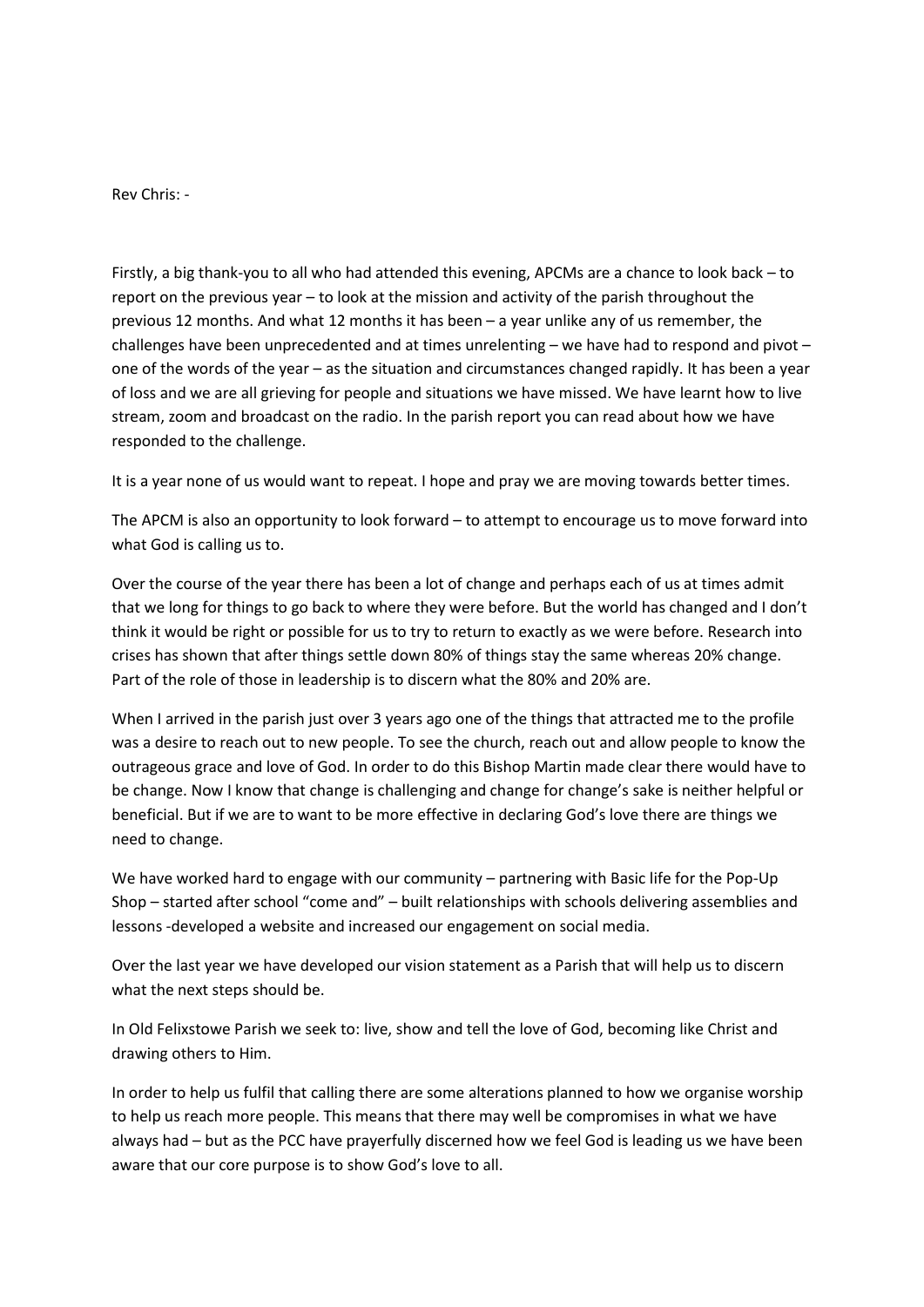Rev Chris: -

Firstly, a big thank-you to all who had attended this evening, APCMs are a chance to look back – to report on the previous year – to look at the mission and activity of the parish throughout the previous 12 months. And what 12 months it has been – a year unlike any of us remember, the challenges have been unprecedented and at times unrelenting – we have had to respond and pivot – one of the words of the year – as the situation and circumstances changed rapidly. It has been a year of loss and we are all grieving for people and situations we have missed. We have learnt how to live stream, zoom and broadcast on the radio. In the parish report you can read about how we have responded to the challenge.

It is a year none of us would want to repeat. I hope and pray we are moving towards better times.

The APCM is also an opportunity to look forward – to attempt to encourage us to move forward into what God is calling us to.

Over the course of the year there has been a lot of change and perhaps each of us at times admit that we long for things to go back to where they were before. But the world has changed and I don't think it would be right or possible for us to try to return to exactly as we were before. Research into crises has shown that after things settle down 80% of things stay the same whereas 20% change. Part of the role of those in leadership is to discern what the 80% and 20% are.

When I arrived in the parish just over 3 years ago one of the things that attracted me to the profile was a desire to reach out to new people. To see the church, reach out and allow people to know the outrageous grace and love of God. In order to do this Bishop Martin made clear there would have to be change. Now I know that change is challenging and change for change's sake is neither helpful or beneficial. But if we are to want to be more effective in declaring God's love there are things we need to change.

We have worked hard to engage with our community – partnering with Basic life for the Pop-Up Shop – started after school "come and" – built relationships with schools delivering assemblies and lessons -developed a website and increased our engagement on social media.

Over the last year we have developed our vision statement as a Parish that will help us to discern what the next steps should be.

In Old Felixstowe Parish we seek to: live, show and tell the love of God, becoming like Christ and drawing others to Him.

In order to help us fulfil that calling there are some alterations planned to how we organise worship to help us reach more people. This means that there may well be compromises in what we have always had – but as the PCC have prayerfully discerned how we feel God is leading us we have been aware that our core purpose is to show God's love to all.